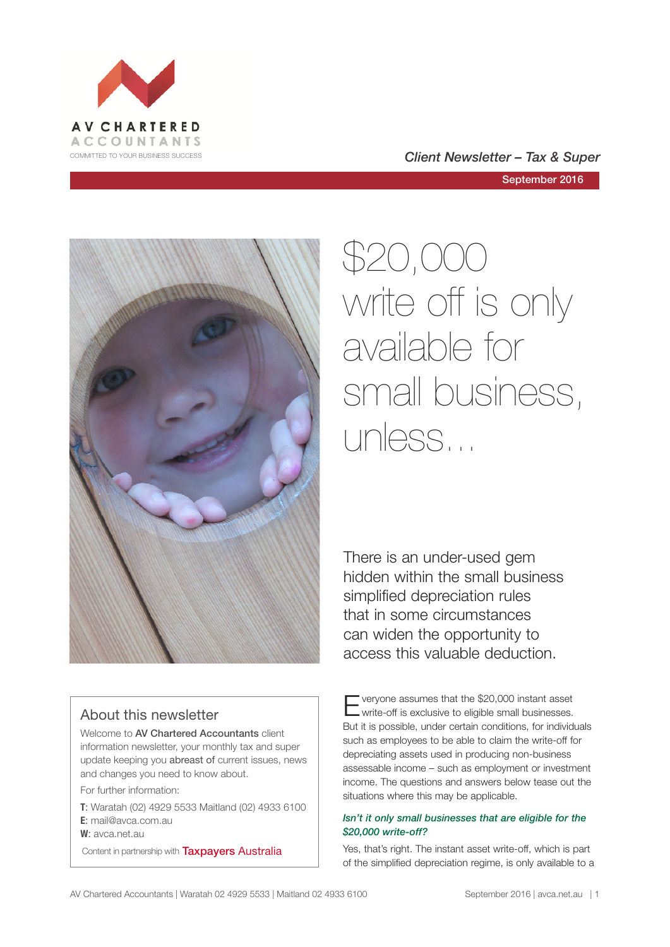

# COMMITTED TO YOUR BUSINESS SUCCESS **COMMITTED TO YOUR BUSINESS SUCCESS**



# \$20,000 write off is only available for small business, unless...

There is an under-used gem hidden within the small business simplified depreciation rules that in some circumstances can widen the opportunity to access this valuable deduction.

# About this newsletter

Welcome to AV Chartered Accountants client information newsletter, your monthly tax and super update keeping you abreast of current issues, news and changes you need to know about.

For further information:

**T**: Waratah (02) 4929 5533 Maitland (02) 4933 6100 **E**: mail@avca.com.au

**W**: avca.net.au

Content in partnership with **Taxpayers Australia** 

Everyone assumes that the \$20,000 instant asset write-off is exclusive to eligible small businesses. But it is possible, under certain conditions, for individuals such as employees to be able to claim the write-off for depreciating assets used in producing non-business assessable income – such as employment or investment income. The questions and answers below tease out the situations where this may be applicable.

## *Isn't it only small businesses that are eligible for the \$20,000 write-off?*

Yes, that's right. The instant asset write-off, which is part of the simplified depreciation regime, is only available to a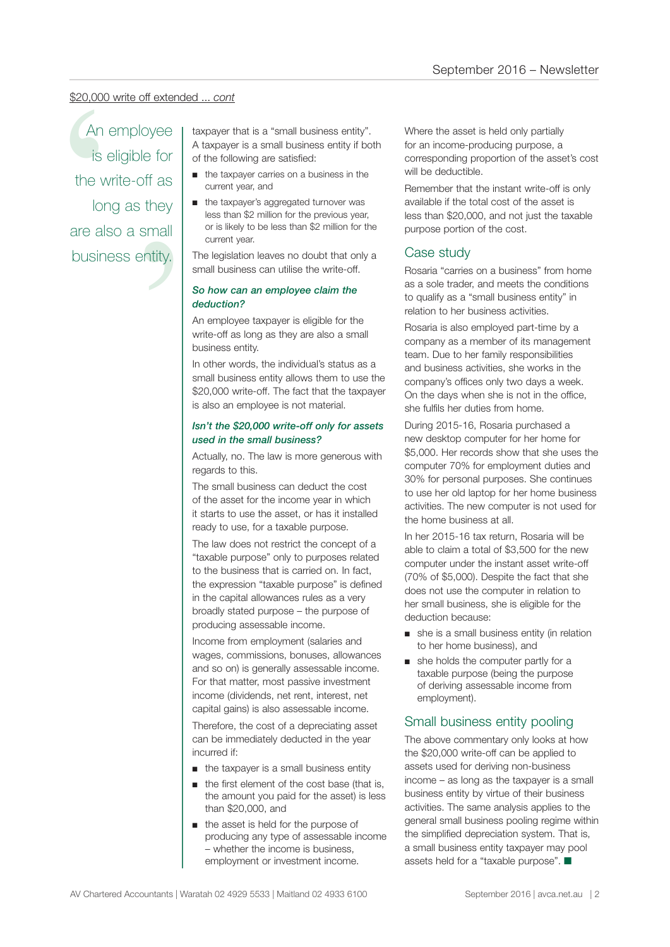#### \$20,000 write off extended ... *cont*

oner<br>ff as<br>they<br>small<br>ntity. Section of the taxpayer that is a "small business entity".<br>
An employee and taxpayer that is a "small business entity".<br>
Is eligible for a taxpayer is a small business entity if bough the taxpayer is a small business entit An employee is eligible for the write-off as long as they are also a small business entity.

A taxpayer is a small business entity if both of the following are satisfied:

- the taxpayer carries on a business in the current year, and
- the taxpayer's aggregated turnover was less than \$2 million for the previous year, or is likely to be less than \$2 million for the current year.

The legislation leaves no doubt that only a small business can utilise the write-off.

#### *So how can an employee claim the deduction?*

An employee taxpayer is eligible for the write-off as long as they are also a small business entity.

In other words, the individual's status as a small business entity allows them to use the \$20,000 write-off. The fact that the taxpayer is also an employee is not material.

#### *Isn't the \$20,000 write-off only for assets used in the small business?*

Actually, no. The law is more generous with regards to this.

The small business can deduct the cost of the asset for the income year in which it starts to use the asset, or has it installed ready to use, for a taxable purpose.

The law does not restrict the concept of a "taxable purpose" only to purposes related to the business that is carried on. In fact, the expression "taxable purpose" is defined in the capital allowances rules as a very broadly stated purpose – the purpose of producing assessable income.

Income from employment (salaries and wages, commissions, bonuses, allowances and so on) is generally assessable income. For that matter, most passive investment income (dividends, net rent, interest, net capital gains) is also assessable income.

Therefore, the cost of a depreciating asset can be immediately deducted in the year incurred if:

- the taxpayer is a small business entity
- the first element of the cost base (that is, the amount you paid for the asset) is less than \$20,000, and
- the asset is held for the purpose of producing any type of assessable income – whether the income is business, employment or investment income.

Where the asset is held only partially for an income-producing purpose, a corresponding proportion of the asset's cost will be deductible.

Remember that the instant write-off is only available if the total cost of the asset is less than \$20,000, and not just the taxable purpose portion of the cost.

# Case study

Rosaria "carries on a business" from home as a sole trader, and meets the conditions to qualify as a "small business entity" in relation to her business activities.

Rosaria is also employed part-time by a company as a member of its management team. Due to her family responsibilities and business activities, she works in the company's offices only two days a week. On the days when she is not in the office, she fulfils her duties from home.

During 2015-16, Rosaria purchased a new desktop computer for her home for \$5,000. Her records show that she uses the computer 70% for employment duties and 30% for personal purposes. She continues to use her old laptop for her home business activities. The new computer is not used for the home business at all.

In her 2015-16 tax return, Rosaria will be able to claim a total of \$3,500 for the new computer under the instant asset write-off (70% of \$5,000). Despite the fact that she does not use the computer in relation to her small business, she is eligible for the deduction because:

- she is a small business entity (in relation to her home business), and
- she holds the computer partly for a taxable purpose (being the purpose of deriving assessable income from employment).

# Small business entity pooling

The above commentary only looks at how the \$20,000 write-off can be applied to assets used for deriving non-business income – as long as the taxpayer is a small business entity by virtue of their business activities. The same analysis applies to the general small business pooling regime within the simplified depreciation system. That is, a small business entity taxpayer may pool assets held for a "taxable purpose".  $\blacksquare$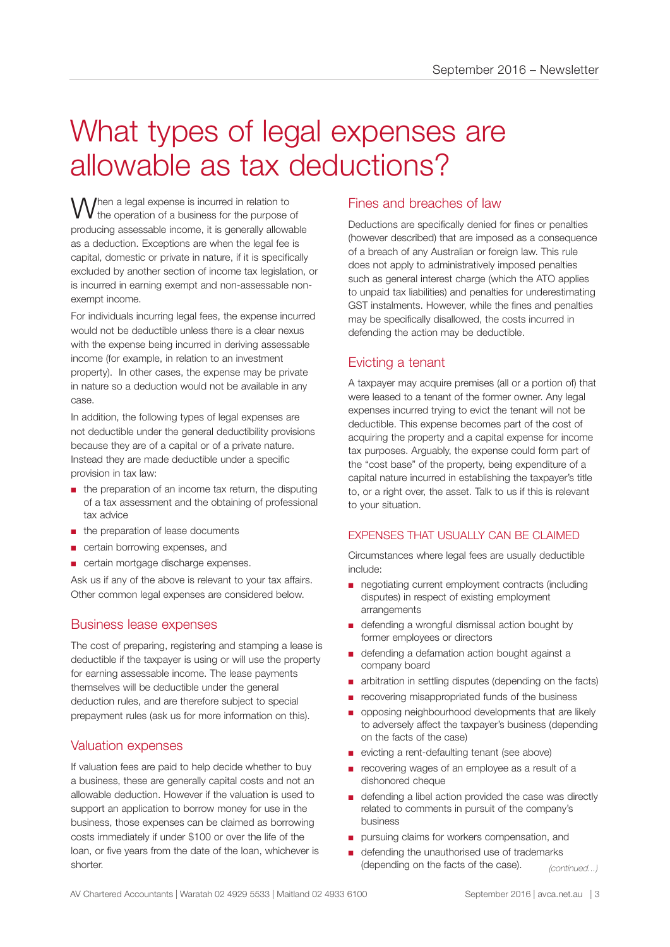# What types of legal expenses are allowable as tax deductions?

When a legal expense is incurred in relation to<br>
We the operation of a business for the purpose of producing assessable income, it is generally allowable as a deduction. Exceptions are when the legal fee is capital, domestic or private in nature, if it is specifically excluded by another section of income tax legislation, or is incurred in earning exempt and non-assessable nonexempt income.

For individuals incurring legal fees, the expense incurred would not be deductible unless there is a clear nexus with the expense being incurred in deriving assessable income (for example, in relation to an investment property). In other cases, the expense may be private in nature so a deduction would not be available in any case.

In addition, the following types of legal expenses are not deductible under the general deductibility provisions because they are of a capital or of a private nature. Instead they are made deductible under a specific provision in tax law:

- the preparation of an income tax return, the disputing of a tax assessment and the obtaining of professional tax advice
- the preparation of lease documents
- certain borrowing expenses, and
- certain mortgage discharge expenses.

Ask us if any of the above is relevant to your tax affairs. Other common legal expenses are considered below.

## Business lease expenses

The cost of preparing, registering and stamping a lease is deductible if the taxpayer is using or will use the property for earning assessable income. The lease payments themselves will be deductible under the general deduction rules, and are therefore subject to special prepayment rules (ask us for more information on this).

# Valuation expenses

If valuation fees are paid to help decide whether to buy a business, these are generally capital costs and not an allowable deduction. However if the valuation is used to support an application to borrow money for use in the business, those expenses can be claimed as borrowing costs immediately if under \$100 or over the life of the loan, or five years from the date of the loan, whichever is shorter.

# Fines and breaches of law

Deductions are specifically denied for fines or penalties (however described) that are imposed as a consequence of a breach of any Australian or foreign law. This rule does not apply to administratively imposed penalties such as general interest charge (which the ATO applies to unpaid tax liabilities) and penalties for underestimating GST instalments. However, while the fines and penalties may be specifically disallowed, the costs incurred in defending the action may be deductible.

## Evicting a tenant

A taxpayer may acquire premises (all or a portion of) that were leased to a tenant of the former owner. Any legal expenses incurred trying to evict the tenant will not be deductible. This expense becomes part of the cost of acquiring the property and a capital expense for income tax purposes. Arguably, the expense could form part of the "cost base" of the property, being expenditure of a capital nature incurred in establishing the taxpayer's title to, or a right over, the asset. Talk to us if this is relevant to your situation.

## EXPENSES THAT USUALLY CAN BE CLAIMED.

Circumstances where legal fees are usually deductible include:

- negotiating current employment contracts (including disputes) in respect of existing employment arrangements
- defending a wrongful dismissal action bought by former employees or directors
- defending a defamation action bought against a company board
- arbitration in settling disputes (depending on the facts)
- recovering misappropriated funds of the business
- opposing neighbourhood developments that are likely to adversely affect the taxpayer's business (depending on the facts of the case)
- evicting a rent-defaulting tenant (see above)
- recovering wages of an employee as a result of a dishonored cheque
- defending a libel action provided the case was directly related to comments in pursuit of the company's business
- pursuing claims for workers compensation, and
- defending the unauthorised use of trademarks (depending on the facts of the case). *(continued...)*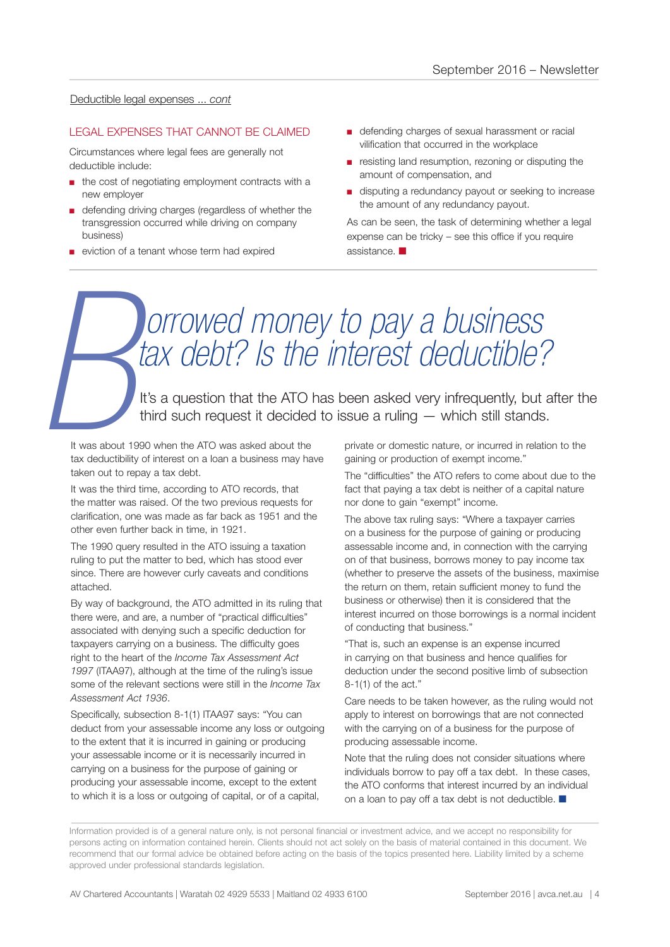#### Deductible legal expenses ... *cont*

#### LEGAL EXPENSES THAT CANNOT BE CLAIMED

Circumstances where legal fees are generally not deductible include:

- the cost of negotiating employment contracts with a new employer
- defending driving charges (regardless of whether the transgression occurred while driving on company business)
- eviction of a tenant whose term had expired
- defending charges of sexual harassment or racial vilification that occurred in the workplace
- resisting land resumption, rezoning or disputing the amount of compensation, and
- disputing a redundancy payout or seeking to increase the amount of any redundancy payout.

As can be seen, the task of determining whether a legal expense can be tricky – see this office if you require assistance.  $\blacksquare$ 

# *orrowed money to pay a business tax debt? Is the interest deductible?* It's a question that the ATO has been asked very infrequently, but after the *Bthird such request it decided to issue a ruling — which still stands.*<br>
It was about 1990 when the ATO was asked about the *private or domestic*

It was about 1990 when the ATO was asked about the tax deductibility of interest on a loan a business may have taken out to repay a tax debt.

It was the third time, according to ATO records, that the matter was raised. Of the two previous requests for clarification, one was made as far back as 1951 and the other even further back in time, in 1921.

The 1990 query resulted in the ATO issuing a taxation ruling to put the matter to bed, which has stood ever since. There are however curly caveats and conditions attached.

By way of background, the ATO admitted in its ruling that there were, and are, a number of "practical difficulties" associated with denying such a specific deduction for taxpayers carrying on a business. The difficulty goes right to the heart of the *Income Tax Assessment Act 1997* (ITAA97), although at the time of the ruling's issue some of the relevant sections were still in the *Income Tax Assessment Act 1936*.

Specifically, subsection 8-1(1) ITAA97 says: "You can deduct from your assessable income any loss or outgoing to the extent that it is incurred in gaining or producing your assessable income or it is necessarily incurred in carrying on a business for the purpose of gaining or producing your assessable income, except to the extent to which it is a loss or outgoing of capital, or of a capital,

private or domestic nature, or incurred in relation to the gaining or production of exempt income."

The "difficulties" the ATO refers to come about due to the fact that paying a tax debt is neither of a capital nature nor done to gain "exempt" income.

The above tax ruling says: "Where a taxpayer carries on a business for the purpose of gaining or producing assessable income and, in connection with the carrying on of that business, borrows money to pay income tax (whether to preserve the assets of the business, maximise the return on them, retain sufficient money to fund the business or otherwise) then it is considered that the interest incurred on those borrowings is a normal incident of conducting that business."

"That is, such an expense is an expense incurred in carrying on that business and hence qualifies for deduction under the second positive limb of subsection 8-1(1) of the act."

Care needs to be taken however, as the ruling would not apply to interest on borrowings that are not connected with the carrying on of a business for the purpose of producing assessable income.

Note that the ruling does not consider situations where individuals borrow to pay off a tax debt. In these cases, the ATO conforms that interest incurred by an individual on a loan to pay off a tax debt is not deductible.  $\blacksquare$ 

Information provided is of a general nature only, is not personal financial or investment advice, and we accept no responsibility for persons acting on information contained herein. Clients should not act solely on the basis of material contained in this document. We recommend that our formal advice be obtained before acting on the basis of the topics presented here. Liability limited by a scheme approved under professional standards legislation.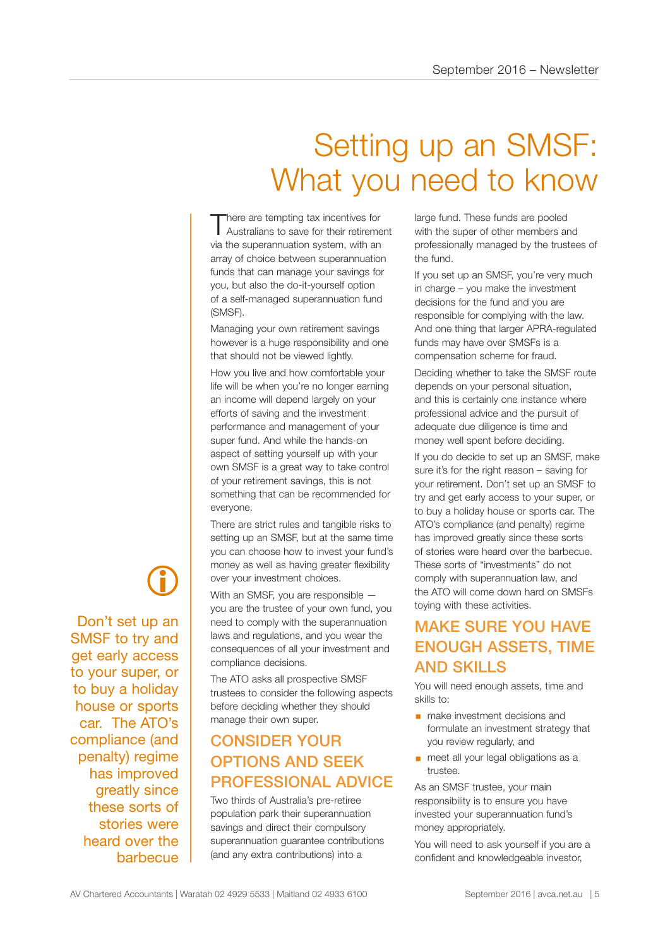# Setting up an SMSF: What you need to know

There are tempting tax incentives for<br>Australians to save for their retirement via the superannuation system, with an array of choice between superannuation funds that can manage your savings for you, but also the do-it-yourself option of a self-managed superannuation fund (SMSF).

Managing your own retirement savings however is a huge responsibility and one that should not be viewed lightly.

How you live and how comfortable your life will be when you're no longer earning an income will depend largely on your efforts of saving and the investment performance and management of your super fund. And while the hands-on aspect of setting yourself up with your own SMSF is a great way to take control of your retirement savings, this is not something that can be recommended for everyone.

There are strict rules and tangible risks to setting up an SMSF, but at the same time you can choose how to invest your fund's money as well as having greater flexibility over your investment choices.

With an SMSF, you are responsible you are the trustee of your own fund, you need to comply with the superannuation laws and regulations, and you wear the consequences of all your investment and compliance decisions.

The ATO asks all prospective SMSF trustees to consider the following aspects before deciding whether they should manage their own super.

# CONSIDER YOUR OPTIONS AND SEEK PROFESSIONAL ADVICE

Two thirds of Australia's pre-retiree population park their superannuation savings and direct their compulsory superannuation guarantee contributions (and any extra contributions) into a

large fund. These funds are pooled with the super of other members and professionally managed by the trustees of the fund.

If you set up an SMSF, you're very much in charge – you make the investment decisions for the fund and you are responsible for complying with the law. And one thing that larger APRA-regulated funds may have over SMSFs is a compensation scheme for fraud.

Deciding whether to take the SMSF route depends on your personal situation, and this is certainly one instance where professional advice and the pursuit of adequate due diligence is time and money well spent before deciding.

If you do decide to set up an SMSF, make sure it's for the right reason – saving for your retirement. Don't set up an SMSF to try and get early access to your super, or to buy a holiday house or sports car. The ATO's compliance (and penalty) regime has improved greatly since these sorts of stories were heard over the barbecue. These sorts of "investments" do not comply with superannuation law, and the ATO will come down hard on SMSFs toying with these activities.

# MAKE SURE YOU HAVE ENOUGH ASSETS, TIME AND SKILLS

You will need enough assets, time and skills to:

- **•** make investment decisions and formulate an investment strategy that you review regularly, and
- meet all your legal obligations as a trustee.

As an SMSF trustee, your main responsibility is to ensure you have invested your superannuation fund's money appropriately.

You will need to ask yourself if you are a confident and knowledgeable investor,

# $\bigcirc$

Don't set up an SMSF to try and get early access to your super, or to buy a holiday house or sports car. The ATO's compliance (and penalty) regime has improved greatly since these sorts of stories were heard over the barbecue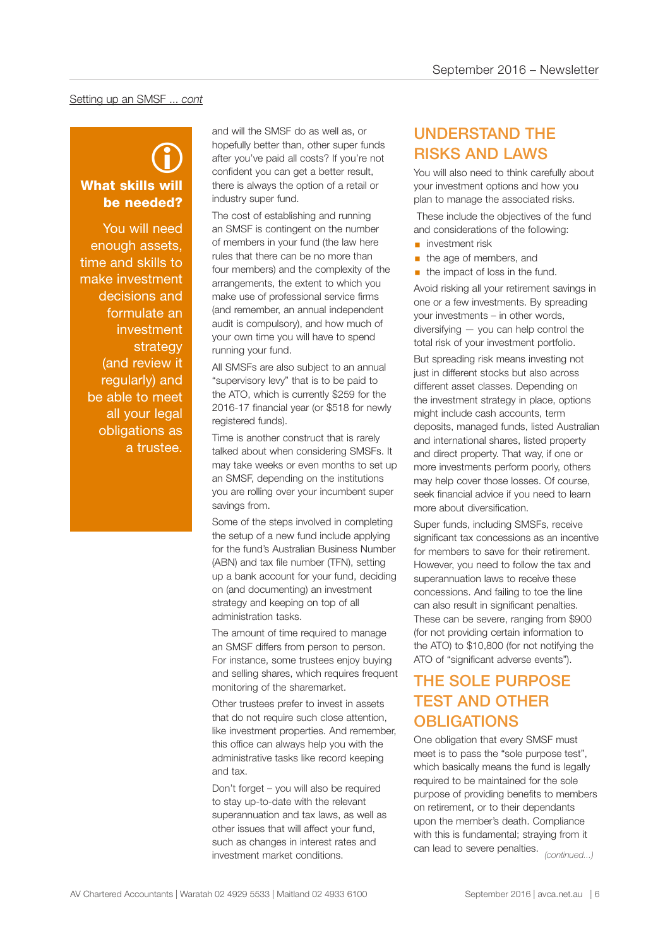#### Setting up an SMSF ... *cont*

# What skills will be needed?  $\bigcirc$

You will need enough assets, time and skills to make investment decisions and formulate an investment strategy (and review it regularly) and be able to meet all your legal obligations as a trustee.

and will the SMSF do as well as, or hopefully better than, other super funds after you've paid all costs? If you're not confident you can get a better result, there is always the option of a retail or industry super fund.

The cost of establishing and running an SMSF is contingent on the number of members in your fund (the law here rules that there can be no more than four members) and the complexity of the arrangements, the extent to which you make use of professional service firms (and remember, an annual independent audit is compulsory), and how much of your own time you will have to spend running your fund.

All SMSFs are also subject to an annual "supervisory levy" that is to be paid to the ATO, which is currently \$259 for the 2016-17 financial year (or \$518 for newly registered funds).

Time is another construct that is rarely talked about when considering SMSFs. It may take weeks or even months to set up an SMSF, depending on the institutions you are rolling over your incumbent super savings from.

Some of the steps involved in completing the setup of a new fund include applying for the fund's Australian Business Number (ABN) and tax file number (TFN), setting up a bank account for your fund, deciding on (and documenting) an investment strategy and keeping on top of all administration tasks.

The amount of time required to manage an SMSF differs from person to person. For instance, some trustees enjoy buying and selling shares, which requires frequent monitoring of the sharemarket.

Other trustees prefer to invest in assets that do not require such close attention, like investment properties. And remember, this office can always help you with the administrative tasks like record keeping and tax.

Don't forget – you will also be required to stay up-to-date with the relevant superannuation and tax laws, as well as other issues that will affect your fund, such as changes in interest rates and investment market conditions.

# UNDERSTAND THE RISKS AND LAWS

You will also need to think carefully about your investment options and how you plan to manage the associated risks.

 These include the objectives of the fund and considerations of the following:

- investment risk
- **the age of members, and**
- the impact of loss in the fund.

Avoid risking all your retirement savings in one or a few investments. By spreading your investments – in other words, diversifying — you can help control the total risk of your investment portfolio.

But spreading risk means investing not just in different stocks but also across different asset classes. Depending on the investment strategy in place, options might include cash accounts, term deposits, managed funds, listed Australian and international shares, listed property and direct property. That way, if one or more investments perform poorly, others may help cover those losses. Of course, seek financial advice if you need to learn more about diversification.

Super funds, including SMSFs, receive significant tax concessions as an incentive for members to save for their retirement. However, you need to follow the tax and superannuation laws to receive these concessions. And failing to toe the line can also result in significant penalties. These can be severe, ranging from \$900 (for not providing certain information to the ATO) to \$10,800 (for not notifying the ATO of "significant adverse events").

# THE SOLE PURPOSE TEST AND OTHER **OBLIGATIONS**

One obligation that every SMSF must meet is to pass the "sole purpose test", which basically means the fund is legally required to be maintained for the sole purpose of providing benefits to members on retirement, or to their dependants upon the member's death. Compliance with this is fundamental; straying from it can lead to severe penalties. *(continued...)*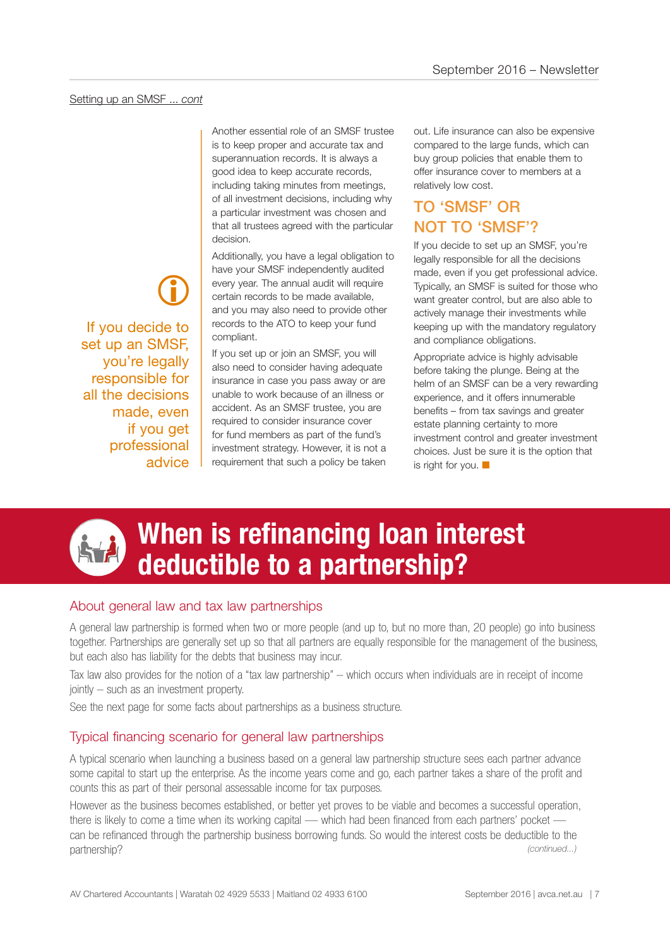Another essential role of an SMSF trustee is to keep proper and accurate tax and superannuation records. It is always a good idea to keep accurate records, including taking minutes from meetings, of all investment decisions, including why a particular investment was chosen and that all trustees agreed with the particular decision.

Additionally, you have a legal obligation to have your SMSF independently audited every year. The annual audit will require certain records to be made available, and you may also need to provide other records to the ATO to keep your fund compliant.

If you set up or join an SMSF, you will also need to consider having adequate insurance in case you pass away or are unable to work because of an illness or accident. As an SMSF trustee, you are required to consider insurance cover for fund members as part of the fund's investment strategy. However, it is not a requirement that such a policy be taken out. Life insurance can also be expensive compared to the large funds, which can buy group policies that enable them to offer insurance cover to members at a relatively low cost.

# TO 'SMSF' OR NOT TO 'SMSF'?

If you decide to set up an SMSF, you're legally responsible for all the decisions made, even if you get professional advice. Typically, an SMSF is suited for those who want greater control, but are also able to actively manage their investments while keeping up with the mandatory regulatory and compliance obligations.

Appropriate advice is highly advisable before taking the plunge. Being at the helm of an SMSF can be a very rewarding experience, and it offers innumerable benefits – from tax savings and greater estate planning certainty to more investment control and greater investment choices. Just be sure it is the option that is right for you.  $\Box$ 





# **When is refinancing loan interest deductible to a partnership?**

# About general law and tax law partnerships

A general law partnership is formed when two or more people (and up to, but no more than, 20 people) go into business together. Partnerships are generally set up so that all partners are equally responsible for the management of the business, but each also has liability for the debts that business may incur.

Tax law also provides for the notion of a "tax law partnership" – which occurs when individuals are in receipt of income jointly – such as an investment property.

See the next page for some facts about partnerships as a business structure.

# Typical financing scenario for general law partnerships

A typical scenario when launching a business based on a general law partnership structure sees each partner advance some capital to start up the enterprise. As the income years come and go, each partner takes a share of the profit and counts this as part of their personal assessable income for tax purposes.

However as the business becomes established, or better yet proves to be viable and becomes a successful operation, there is likely to come a time when its working capital — which had been financed from each partners' pocket can be refinanced through the partnership business borrowing funds. So would the interest costs be deductible to the partnership? *(continued...)*